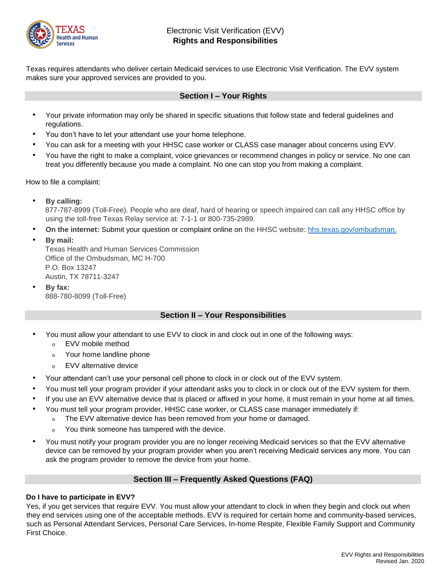

Texas requires attendants who deliver certain Medicaid services to use Electronic Visit Verification. The EVV system makes sure your approved services are provided to you.

# **Section I – Your Rights**

- Your private information may only be shared in specific situations that follow state and federal guidelines and regulations.
- You don't have to let your attendant use your home telephone.
- You can ask for a meeting with your HHSC case worker or CLASS case manager about concerns using EVV.
- You have the right to make a complaint, voice grievances or recommend changes in policy or service. No one can treat you differently because you made a complaint. No one can stop you from making a complaint.

How to file a complaint:

• **By calling:**

877-787-8999 (Toll-Free). People who are deaf, hard of hearing or speech impaired can call any HHSC office by using the toll-free Texas Relay service at: 7-1-1 or 800-735-2989.

- **On the interne[t:](https://hhsportal.hhs.state.tx.us/heartwebextr/hhscOmd)** Submit your question or complaint online on the HHSC website: [hhs.texas.gov/ombudsman.](https://hhs.texas.gov/about-hhs/your-rights/office-ombudsman/hhs-ombudsman-complaint-process)
- **By mail:**

Texas Health and Human Services Commission Office of the Ombudsman, MC H-700 P.O. Box 13247 Austin, TX 78711-3247

• **By fax:** 888-780-8099 (Toll-Free)

# **Section II – Your Responsibilities**

- You must allow your attendant to use EVV to clock in and clock out in one of the following ways:
	- <sup>o</sup> EVV mobile method
	- <sup>o</sup> Your home landline phone
	- **EVV alternative device**
- Your attendant can't use your personal cell phone to clock in or clock out of the EVV system.
- You must tell your program provider if your attendant asks you to clock in or clock out of the EVV system for them.
- If you use an EVV alternative device that is placed or affixed in your home, it must remain in your home at all times.
- You must tell your program provider, HHSC case worker, or CLASS case manager immediately if:
	- <sup>o</sup> The EVV alternative device has been removed from your home or damaged.
		- You think someone has tampered with the device.
- You must notify your program provider you are no longer receiving Medicaid services so that the EVV alternative device can be removed by your program provider when you aren't receiving Medicaid services any more. You can ask the program provider to remove the device from your home.

# **Section III – Frequently Asked Questions (FAQ)**

# **Do I have to participate in EVV?**

Yes, if you get services that require EVV. You must allow your attendant to clock in when they begin and clock out when they end services using one of the acceptable methods. EVV is required for certain home and community-based services, such as Personal Attendant Services, Personal Care Services, In-home Respite, Flexible Family Support and Community First Choice.